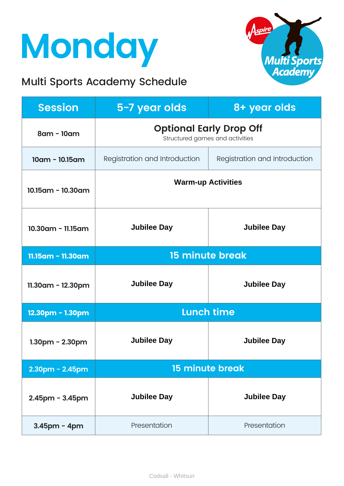## **Monday**

### Multi Sports Academy Schedule



| <b>Session</b>        | 5-7 year olds                                                     | 8+ year olds                  |
|-----------------------|-------------------------------------------------------------------|-------------------------------|
| 8am - 10am            | <b>Optional Early Drop Off</b><br>Structured games and activities |                               |
| $10am - 10.15am$      | Registration and Introduction                                     | Registration and Introduction |
| 10.15am - 10.30am     | <b>Warm-up Activities</b>                                         |                               |
| $10.30$ am - 11.15am  | <b>Jubilee Day</b>                                                | <b>Jubilee Day</b>            |
| 11.15am - 11.30am     | <b>15 minute break</b>                                            |                               |
| 11.30am - 12.30pm     | <b>Jubilee Day</b>                                                | <b>Jubilee Day</b>            |
| 12.30pm - 1.30pm      | <b>Lunch time</b>                                                 |                               |
| $1.30pm - 2.30pm$     | <b>Jubilee Day</b>                                                | <b>Jubilee Day</b>            |
| 2.30pm - 2.45pm       | <b>15 minute break</b>                                            |                               |
| $2.45$ pm - $3.45$ pm | <b>Jubilee Day</b>                                                | <b>Jubilee Day</b>            |
| $3.45$ pm - 4pm       | Presentation                                                      | Presentation                  |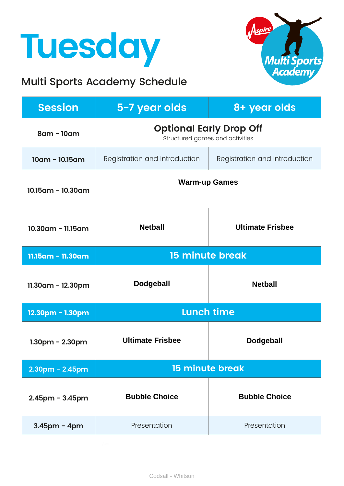## **Tuesday**

### Multi Sports Academy Schedule



| <b>Session</b>          | 5-7 year olds                                                     | 8+ year olds                  |
|-------------------------|-------------------------------------------------------------------|-------------------------------|
| 8am - 10am              | <b>Optional Early Drop Off</b><br>Structured games and activities |                               |
| $10am - 10.15am$        | Registration and Introduction                                     | Registration and Introduction |
| $10.15$ am - $10.30$ am | <b>Warm-up Games</b>                                              |                               |
| 10.30am - 11.15am       | <b>Netball</b>                                                    | <b>Ultimate Frisbee</b>       |
| 11.15am - 11.30am       | <b>15 minute break</b>                                            |                               |
| $11.30$ am - 12.30pm    | <b>Dodgeball</b>                                                  | <b>Netball</b>                |
| 12.30pm - 1.30pm        | <b>Lunch time</b>                                                 |                               |
| $1.30$ pm - $2.30$ pm   | <b>Ultimate Frisbee</b>                                           | <b>Dodgeball</b>              |
| $2.30$ pm - $2.45$ pm   | <b>15 minute break</b>                                            |                               |
| $2.45$ pm - $3.45$ pm   | <b>Bubble Choice</b>                                              | <b>Bubble Choice</b>          |
| $3.45$ pm - 4pm         | Presentation                                                      | Presentation                  |